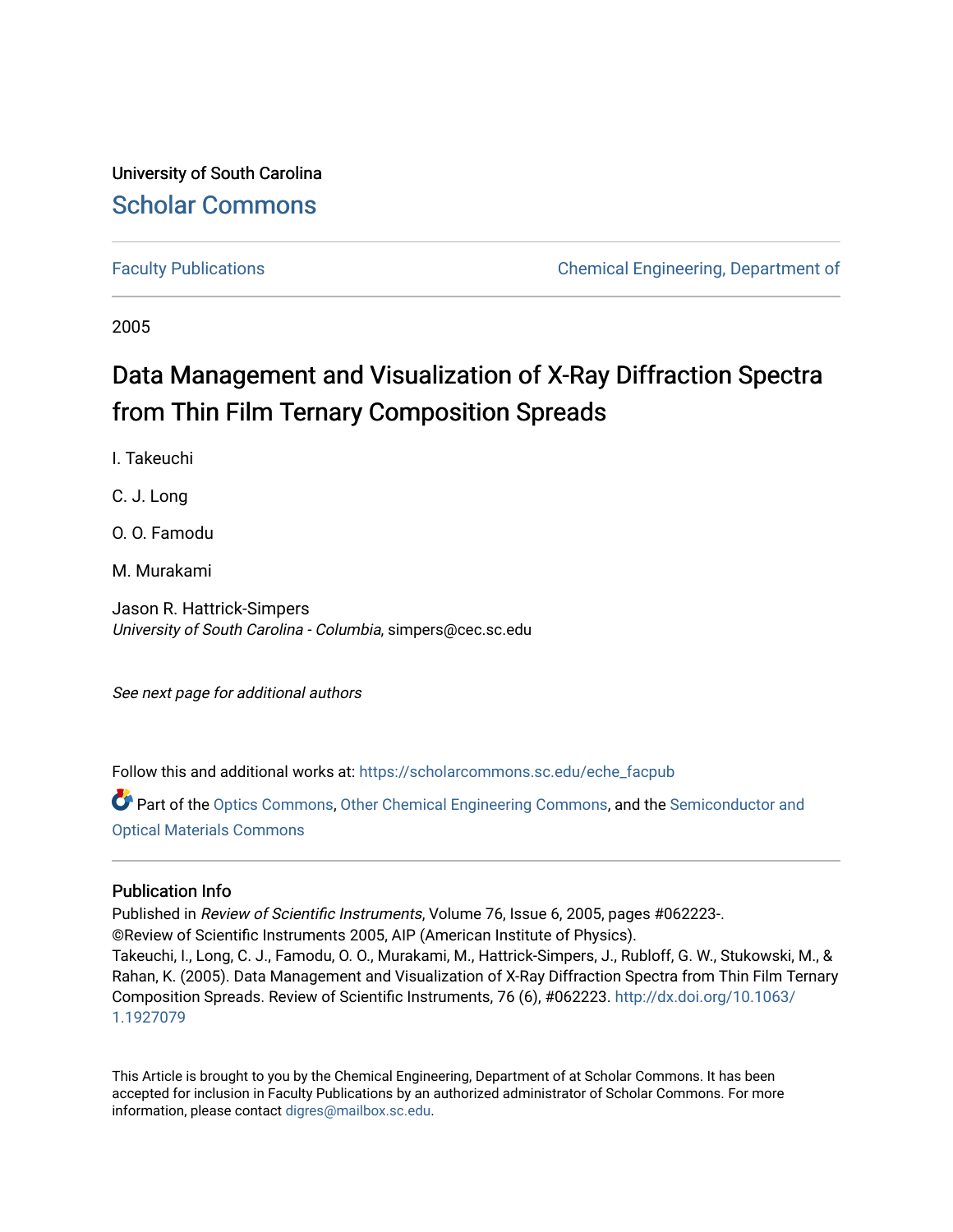University of South Carolina [Scholar Commons](https://scholarcommons.sc.edu/) 

[Faculty Publications](https://scholarcommons.sc.edu/eche_facpub) [Chemical Engineering, Department of](https://scholarcommons.sc.edu/eche) 

2005

# Data Management and Visualization of X-Ray Diffraction Spectra from Thin Film Ternary Composition Spreads

I. Takeuchi

C. J. Long

O. O. Famodu

M. Murakami

Jason R. Hattrick-Simpers University of South Carolina - Columbia, simpers@cec.sc.edu

See next page for additional authors

Follow this and additional works at: [https://scholarcommons.sc.edu/eche\\_facpub](https://scholarcommons.sc.edu/eche_facpub?utm_source=scholarcommons.sc.edu%2Feche_facpub%2F581&utm_medium=PDF&utm_campaign=PDFCoverPages) 

Part of the [Optics Commons](http://network.bepress.com/hgg/discipline/204?utm_source=scholarcommons.sc.edu%2Feche_facpub%2F581&utm_medium=PDF&utm_campaign=PDFCoverPages), [Other Chemical Engineering Commons,](http://network.bepress.com/hgg/discipline/250?utm_source=scholarcommons.sc.edu%2Feche_facpub%2F581&utm_medium=PDF&utm_campaign=PDFCoverPages) and the [Semiconductor and](http://network.bepress.com/hgg/discipline/290?utm_source=scholarcommons.sc.edu%2Feche_facpub%2F581&utm_medium=PDF&utm_campaign=PDFCoverPages) [Optical Materials Commons](http://network.bepress.com/hgg/discipline/290?utm_source=scholarcommons.sc.edu%2Feche_facpub%2F581&utm_medium=PDF&utm_campaign=PDFCoverPages) 

# Publication Info

Published in Review of Scientific Instruments, Volume 76, Issue 6, 2005, pages #062223-. ©Review of Scientific Instruments 2005, AIP (American Institute of Physics). Takeuchi, I., Long, C. J., Famodu, O. O., Murakami, M., Hattrick-Simpers, J., Rubloff, G. W., Stukowski, M., & Rahan, K. (2005). Data Management and Visualization of X-Ray Diffraction Spectra from Thin Film Ternary Composition Spreads. Review of Scientific Instruments, 76 (6), #062223. [http://dx.doi.org/10.1063/](http://dx.doi.org/10.1063/1.1927079%20) [1.1927079](http://dx.doi.org/10.1063/1.1927079%20) 

This Article is brought to you by the Chemical Engineering, Department of at Scholar Commons. It has been accepted for inclusion in Faculty Publications by an authorized administrator of Scholar Commons. For more information, please contact [digres@mailbox.sc.edu.](mailto:digres@mailbox.sc.edu)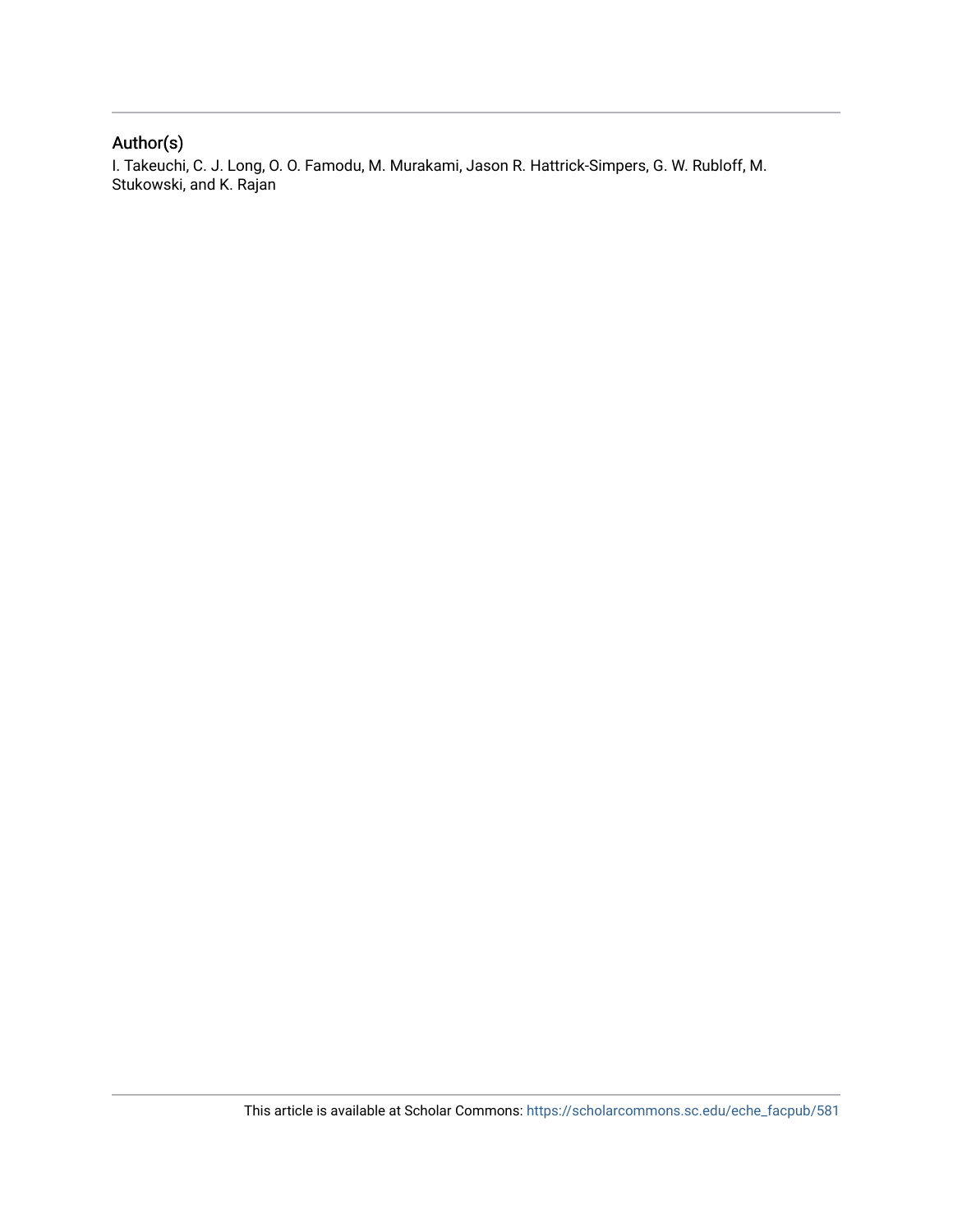# Author(s)

I. Takeuchi, C. J. Long, O. O. Famodu, M. Murakami, Jason R. Hattrick-Simpers, G. W. Rubloff, M. Stukowski, and K. Rajan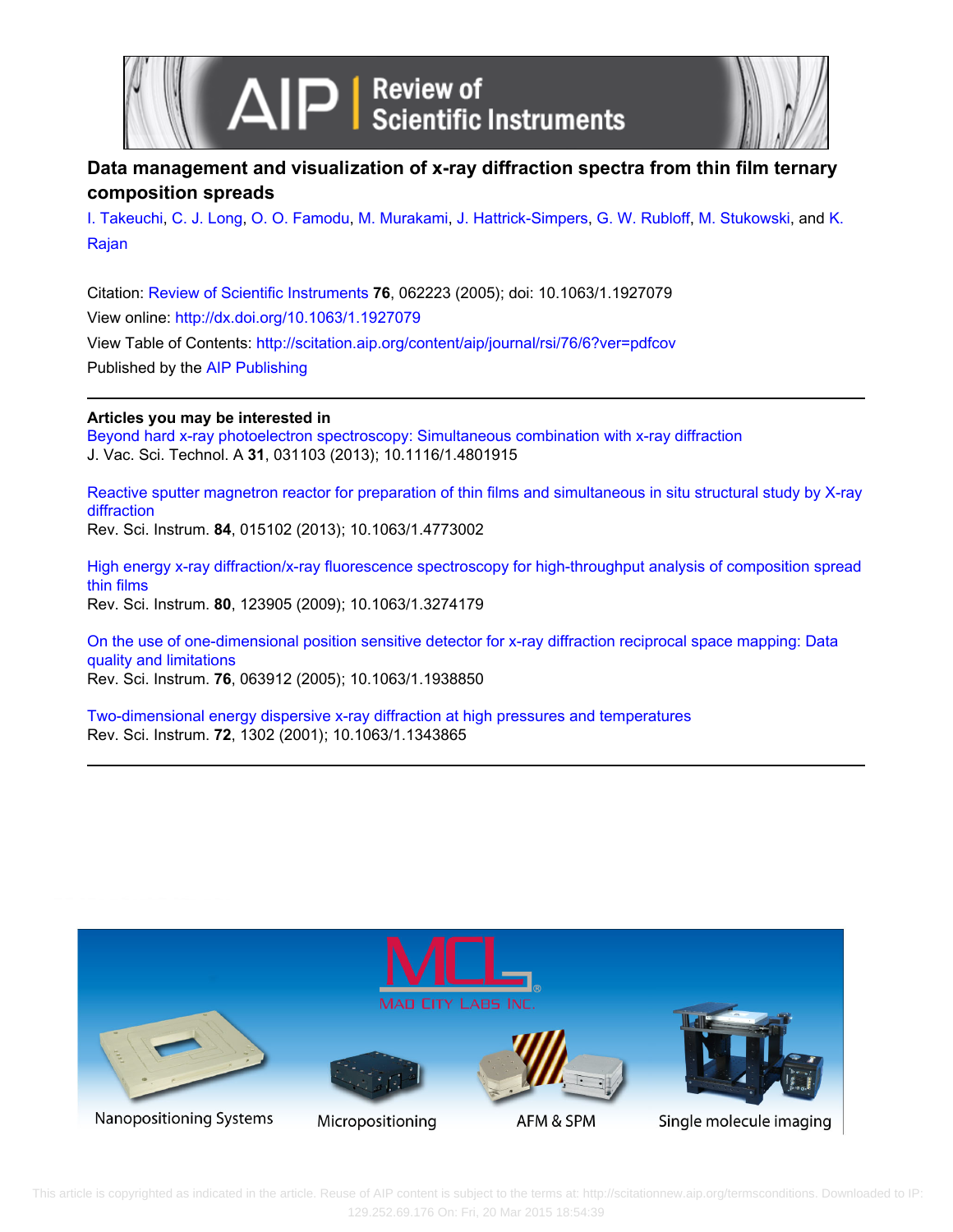



# **Data management and visualization of x-ray diffraction spectra from thin film ternary composition spreads**

[I. Takeuchi,](http://scitation.aip.org/search?value1=I.+Takeuchi&option1=author) [C. J. Long,](http://scitation.aip.org/search?value1=C.+J.+Long&option1=author) [O. O. Famodu,](http://scitation.aip.org/search?value1=O.+O.+Famodu&option1=author) [M. Murakami](http://scitation.aip.org/search?value1=M.+Murakami&option1=author), [J. Hattrick-Simpers](http://scitation.aip.org/search?value1=J.+Hattrick-Simpers&option1=author), [G. W. Rubloff,](http://scitation.aip.org/search?value1=G.+W.+Rubloff&option1=author) [M. Stukowski,](http://scitation.aip.org/search?value1=M.+Stukowski&option1=author) and [K.](http://scitation.aip.org/search?value1=K.+Rajan&option1=author) [Rajan](http://scitation.aip.org/search?value1=K.+Rajan&option1=author)

Citation: [Review of Scientific Instruments](http://scitation.aip.org/content/aip/journal/rsi?ver=pdfcov) **76**, 062223 (2005); doi: 10.1063/1.1927079 View online: <http://dx.doi.org/10.1063/1.1927079> View Table of Contents: <http://scitation.aip.org/content/aip/journal/rsi/76/6?ver=pdfcov> Published by the [AIP Publishing](http://scitation.aip.org/content/aip?ver=pdfcov)

## **Articles you may be interested in**

[Beyond hard x-ray photoelectron spectroscopy: Simultaneous combination with x-ray diffraction](http://scitation.aip.org/content/avs/journal/jvsta/31/3/10.1116/1.4801915?ver=pdfcov) J. Vac. Sci. Technol. A **31**, 031103 (2013); 10.1116/1.4801915

[Reactive sputter magnetron reactor for preparation of thin films and simultaneous in situ structural study by X-ray](http://scitation.aip.org/content/aip/journal/rsi/84/1/10.1063/1.4773002?ver=pdfcov) [diffraction](http://scitation.aip.org/content/aip/journal/rsi/84/1/10.1063/1.4773002?ver=pdfcov) Rev. Sci. Instrum. **84**, 015102 (2013); 10.1063/1.4773002

[High energy x-ray diffraction/x-ray fluorescence spectroscopy for high-throughput analysis of composition spread](http://scitation.aip.org/content/aip/journal/rsi/80/12/10.1063/1.3274179?ver=pdfcov) [thin films](http://scitation.aip.org/content/aip/journal/rsi/80/12/10.1063/1.3274179?ver=pdfcov) Rev. Sci. Instrum. **80**, 123905 (2009); 10.1063/1.3274179

[On the use of one-dimensional position sensitive detector for x-ray diffraction reciprocal space mapping: Data](http://scitation.aip.org/content/aip/journal/rsi/76/6/10.1063/1.1938850?ver=pdfcov) [quality and limitations](http://scitation.aip.org/content/aip/journal/rsi/76/6/10.1063/1.1938850?ver=pdfcov)

Rev. Sci. Instrum. **76**, 063912 (2005); 10.1063/1.1938850

[Two-dimensional energy dispersive x-ray diffraction at high pressures and temperatures](http://scitation.aip.org/content/aip/journal/rsi/72/2/10.1063/1.1343865?ver=pdfcov) Rev. Sci. Instrum. **72**, 1302 (2001); 10.1063/1.1343865



 This article is copyrighted as indicated in the article. Reuse of AIP content is subject to the terms at: http://scitationnew.aip.org/termsconditions. Downloaded to IP: 129.252.69.176 On: Fri, 20 Mar 2015 18:54:39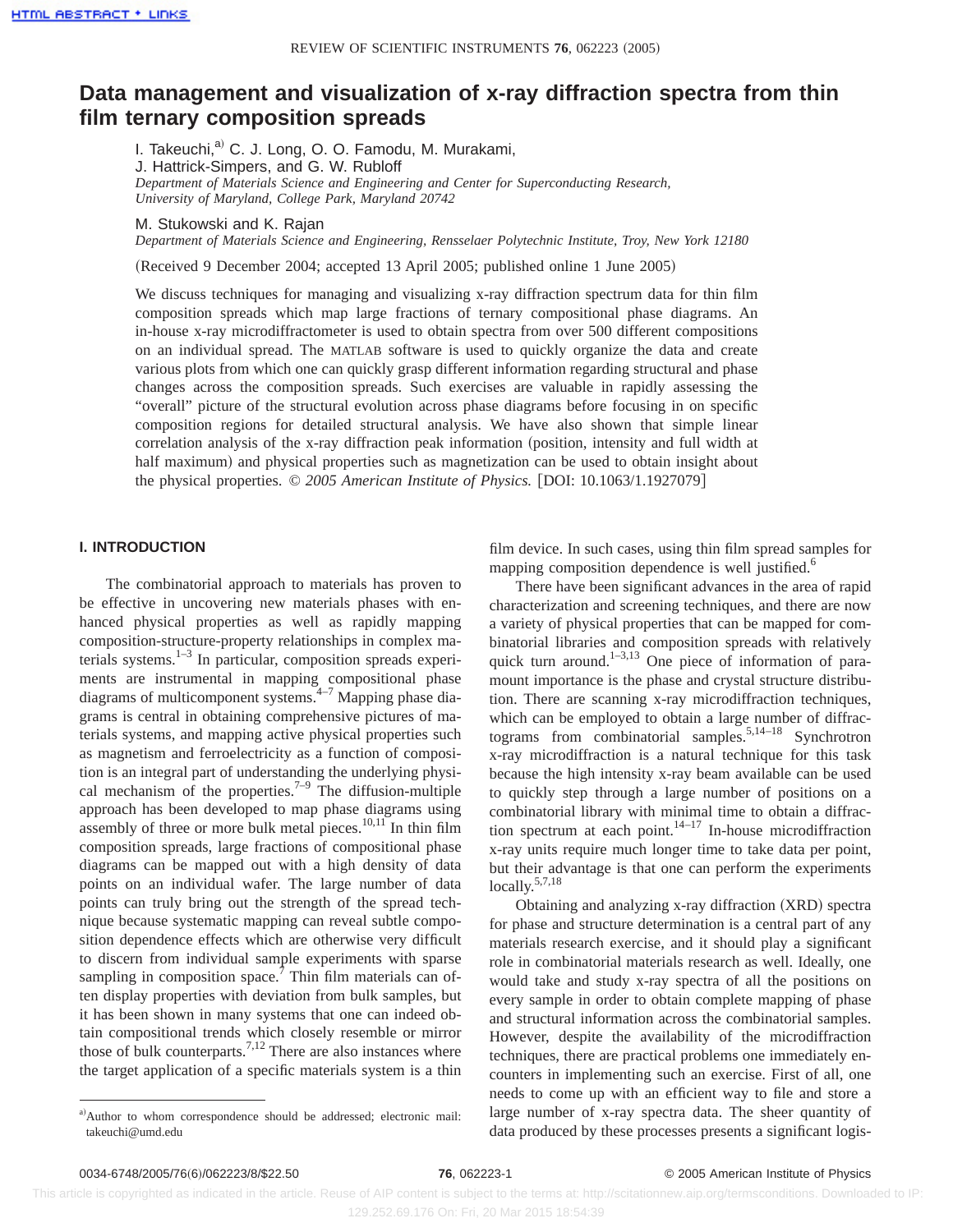# **Data management and visualization of x-ray diffraction spectra from thin film ternary composition spreads**

I. Takeuchi,<sup>a)</sup> C. J. Long, O. O. Famodu, M. Murakami, J. Hattrick-Simpers, and G. W. Rubloff *Department of Materials Science and Engineering and Center for Superconducting Research, University of Maryland, College Park, Maryland 20742*

#### M. Stukowski and K. Rajan

*Department of Materials Science and Engineering, Rensselaer Polytechnic Institute, Troy, New York 12180*

(Received 9 December 2004; accepted 13 April 2005; published online 1 June 2005)

We discuss techniques for managing and visualizing x-ray diffraction spectrum data for thin film composition spreads which map large fractions of ternary compositional phase diagrams. An in-house x-ray microdiffractometer is used to obtain spectra from over 500 different compositions on an individual spread. The MATLAB software is used to quickly organize the data and create various plots from which one can quickly grasp different information regarding structural and phase changes across the composition spreads. Such exercises are valuable in rapidly assessing the "overall" picture of the structural evolution across phase diagrams before focusing in on specific composition regions for detailed structural analysis. We have also shown that simple linear correlation analysis of the x-ray diffraction peak information (position, intensity and full width at half maximum) and physical properties such as magnetization can be used to obtain insight about the physical properties.  $\odot$  2005 American Institute of Physics. [DOI: 10.1063/1.1927079]

### **I. INTRODUCTION**

The combinatorial approach to materials has proven to be effective in uncovering new materials phases with enhanced physical properties as well as rapidly mapping composition-structure-property relationships in complex materials systems.<sup>1–3</sup> In particular, composition spreads experiments are instrumental in mapping compositional phase diagrams of multicomponent systems.<sup>4-7</sup> Mapping phase diagrams is central in obtaining comprehensive pictures of materials systems, and mapping active physical properties such as magnetism and ferroelectricity as a function of composition is an integral part of understanding the underlying physical mechanism of the properties.<sup> $7-9$ </sup> The diffusion-multiple approach has been developed to map phase diagrams using assembly of three or more bulk metal pieces. $10,11$  In thin film composition spreads, large fractions of compositional phase diagrams can be mapped out with a high density of data points on an individual wafer. The large number of data points can truly bring out the strength of the spread technique because systematic mapping can reveal subtle composition dependence effects which are otherwise very difficult to discern from individual sample experiments with sparse sampling in composition space.<sup>7</sup> Thin film materials can often display properties with deviation from bulk samples, but it has been shown in many systems that one can indeed obtain compositional trends which closely resemble or mirror those of bulk counterparts.<sup>7,12</sup> There are also instances where the target application of a specific materials system is a thin

film device. In such cases, using thin film spread samples for mapping composition dependence is well justified.<sup>6</sup>

There have been significant advances in the area of rapid characterization and screening techniques, and there are now a variety of physical properties that can be mapped for combinatorial libraries and composition spreads with relatively quick turn around.<sup>1–3,13</sup> One piece of information of paramount importance is the phase and crystal structure distribution. There are scanning x-ray microdiffraction techniques, which can be employed to obtain a large number of diffractograms from combinatorial samples.<sup>5,14–18</sup> Synchrotron x-ray microdiffraction is a natural technique for this task because the high intensity x-ray beam available can be used to quickly step through a large number of positions on a combinatorial library with minimal time to obtain a diffraction spectrum at each point. $14-17$  In-house microdiffraction x-ray units require much longer time to take data per point, but their advantage is that one can perform the experiments locally. $5,7,18$ 

Obtaining and analyzing x-ray diffraction (XRD) spectra for phase and structure determination is a central part of any materials research exercise, and it should play a significant role in combinatorial materials research as well. Ideally, one would take and study x-ray spectra of all the positions on every sample in order to obtain complete mapping of phase and structural information across the combinatorial samples. However, despite the availability of the microdiffraction techniques, there are practical problems one immediately encounters in implementing such an exercise. First of all, one needs to come up with an efficient way to file and store a large number of x-ray spectra data. The sheer quantity of data produced by these processes presents a significant logis-

a)Author to whom correspondence should be addressed; electronic mail: takeuchi@umd.edu

This article is copyrighted as indicated in the article. Reuse of AIP content is subject to the terms at: http://scitationnew.aip.org/termsconditions. Downloaded to IP: 129.252.69.176 On: Fri, 20 Mar 2015 18:54:39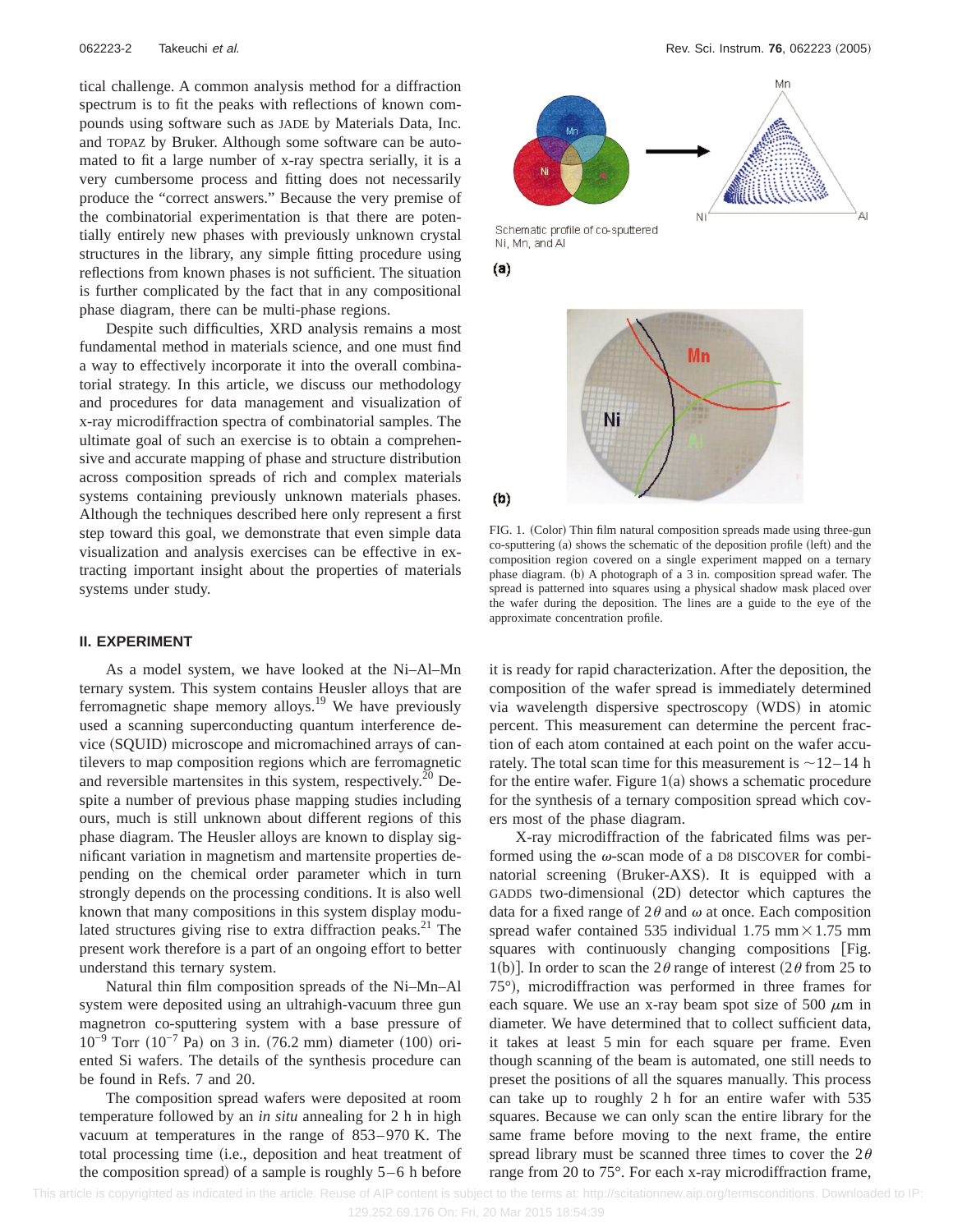tical challenge. A common analysis method for a diffraction spectrum is to fit the peaks with reflections of known compounds using software such as JADE by Materials Data, Inc. and TOPAZ by Bruker. Although some software can be automated to fit a large number of x-ray spectra serially, it is a very cumbersome process and fitting does not necessarily produce the "correct answers." Because the very premise of the combinatorial experimentation is that there are potentially entirely new phases with previously unknown crystal structures in the library, any simple fitting procedure using reflections from known phases is not sufficient. The situation is further complicated by the fact that in any compositional phase diagram, there can be multi-phase regions.

Despite such difficulties, XRD analysis remains a most fundamental method in materials science, and one must find a way to effectively incorporate it into the overall combinatorial strategy. In this article, we discuss our methodology and procedures for data management and visualization of x-ray microdiffraction spectra of combinatorial samples. The ultimate goal of such an exercise is to obtain a comprehensive and accurate mapping of phase and structure distribution across composition spreads of rich and complex materials systems containing previously unknown materials phases. Although the techniques described here only represent a first step toward this goal, we demonstrate that even simple data visualization and analysis exercises can be effective in extracting important insight about the properties of materials systems under study.

### **II. EXPERIMENT**

As a model system, we have looked at the Ni–Al–Mn ternary system. This system contains Heusler alloys that are ferromagnetic shape memory alloys.19 We have previously used a scanning superconducting quantum interference device (SQUID) microscope and micromachined arrays of cantilevers to map composition regions which are ferromagnetic and reversible martensites in this system, respectively.<sup>20</sup> Despite a number of previous phase mapping studies including ours, much is still unknown about different regions of this phase diagram. The Heusler alloys are known to display significant variation in magnetism and martensite properties depending on the chemical order parameter which in turn strongly depends on the processing conditions. It is also well known that many compositions in this system display modulated structures giving rise to extra diffraction peaks.<sup>21</sup> The present work therefore is a part of an ongoing effort to better understand this ternary system.

Natural thin film composition spreads of the Ni–Mn–Al system were deposited using an ultrahigh-vacuum three gun magnetron co-sputtering system with a base pressure of  $10^{-9}$  Torr ( $10^{-7}$  Pa) on 3 in. (76.2 mm) diameter (100) oriented Si wafers. The details of the synthesis procedure can be found in Refs. 7 and 20.

The composition spread wafers were deposited at room temperature followed by an *in situ* annealing for 2 h in high vacuum at temperatures in the range of 853–970 K. The total processing time (i.e., deposition and heat treatment of the composition spread) of a sample is roughly  $5-6$  h before



Ni, Mn, and Al

 $(a)$ 



FIG. 1. (Color) Thin film natural composition spreads made using three-gun co-sputtering (a) shows the schematic of the deposition profile (left) and the composition region covered on a single experiment mapped on a ternary phase diagram. (b) A photograph of a 3 in. composition spread wafer. The spread is patterned into squares using a physical shadow mask placed over the wafer during the deposition. The lines are a guide to the eye of the approximate concentration profile.

it is ready for rapid characterization. After the deposition, the composition of the wafer spread is immediately determined via wavelength dispersive spectroscopy (WDS) in atomic percent. This measurement can determine the percent fraction of each atom contained at each point on the wafer accurately. The total scan time for this measurement is  $\sim$ 12–14 h for the entire wafer. Figure  $1(a)$  shows a schematic procedure for the synthesis of a ternary composition spread which covers most of the phase diagram.

X-ray microdiffraction of the fabricated films was performed using the  $\omega$ -scan mode of a D8 DISCOVER for combinatorial screening (Bruker-AXS). It is equipped with a GADDS two-dimensional  $(2D)$  detector which captures the data for a fixed range of  $2\theta$  and  $\omega$  at once. Each composition spread wafer contained 535 individual 1.75 mm $\times$ 1.75 mm squares with continuously changing compositions [Fig. 1(b)]. In order to scan the  $2\theta$  range of interest (2 $\theta$  from 25 to 75°), microdiffraction was performed in three frames for each square. We use an x-ray beam spot size of 500  $\mu$ m in diameter. We have determined that to collect sufficient data, it takes at least 5 min for each square per frame. Even though scanning of the beam is automated, one still needs to preset the positions of all the squares manually. This process can take up to roughly 2 h for an entire wafer with 535 squares. Because we can only scan the entire library for the same frame before moving to the next frame, the entire spread library must be scanned three times to cover the  $2\theta$ range from 20 to 75°. For each x-ray microdiffraction frame,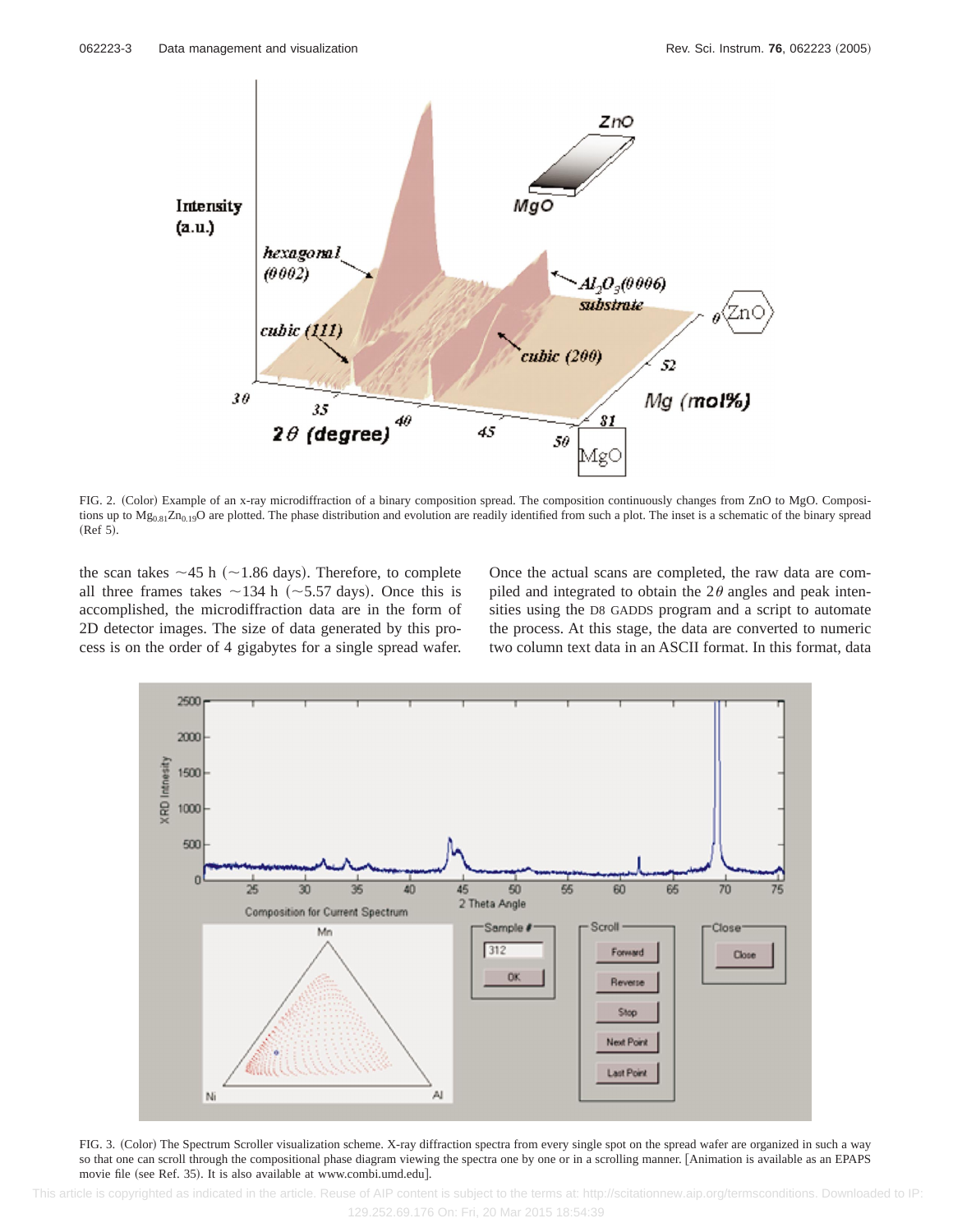

FIG. 2. (Color) Example of an x-ray microdiffraction of a binary composition spread. The composition continuously changes from ZnO to MgO. Compositions up to  $Mg_{0.81}Zn_{0.19}O$  are plotted. The phase distribution and evolution are readily identified from such a plot. The inset is a schematic of the binary spread  $(Ref 5).$ 

the scan takes  $\sim$ 45 h ( $\sim$ 1.86 days). Therefore, to complete all three frames takes  $\sim$ 134 h ( $\sim$ 5.57 days). Once this is accomplished, the microdiffraction data are in the form of 2D detector images. The size of data generated by this process is on the order of 4 gigabytes for a single spread wafer. Once the actual scans are completed, the raw data are compiled and integrated to obtain the  $2\theta$  angles and peak intensities using the D8 GADDS program and a script to automate the process. At this stage, the data are converted to numeric two column text data in an ASCII format. In this format, data



FIG. 3. (Color) The Spectrum Scroller visualization scheme. X-ray diffraction spectra from every single spot on the spread wafer are organized in such a way so that one can scroll through the compositional phase diagram viewing the spectra one by one or in a scrolling manner. fAnimation is available as an EPAPS movie file (see Ref. 35). It is also available at www.combi.umd.edu].

 This article is copyrighted as indicated in the article. Reuse of AIP content is subject to the terms at: http://scitationnew.aip.org/termsconditions. Downloaded to IP: 129.252.69.176 On: Fri, 20 Mar 2015 18:54:39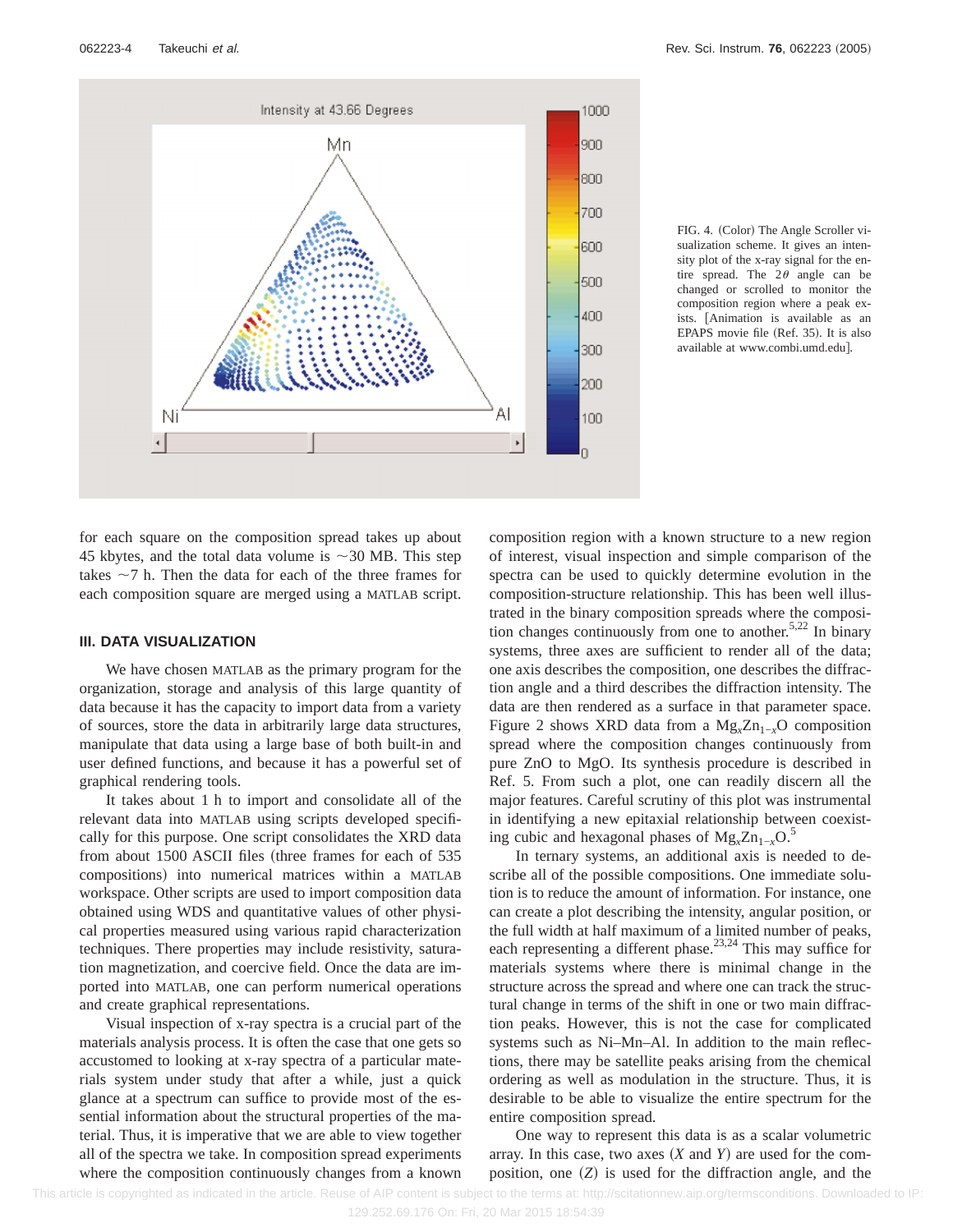

FIG. 4. (Color) The Angle Scroller visualization scheme. It gives an intensity plot of the x-ray signal for the entire spread. The  $2\theta$  angle can be changed or scrolled to monitor the composition region where a peak exists. fAnimation is available as an EPAPS movie file (Ref. 35). It is also available at www.combi.umd.edu].

for each square on the composition spread takes up about 45 kbytes, and the total data volume is  $\sim$  30 MB. This step takes  $\sim$  7 h. Then the data for each of the three frames for each composition square are merged using a MATLAB script.

### **III. DATA VISUALIZATION**

We have chosen MATLAB as the primary program for the organization, storage and analysis of this large quantity of data because it has the capacity to import data from a variety of sources, store the data in arbitrarily large data structures, manipulate that data using a large base of both built-in and user defined functions, and because it has a powerful set of graphical rendering tools.

It takes about 1 h to import and consolidate all of the relevant data into MATLAB using scripts developed specifically for this purpose. One script consolidates the XRD data from about 1500 ASCII files (three frames for each of 535 compositions) into numerical matrices within a MATLAB workspace. Other scripts are used to import composition data obtained using WDS and quantitative values of other physical properties measured using various rapid characterization techniques. There properties may include resistivity, saturation magnetization, and coercive field. Once the data are imported into MATLAB, one can perform numerical operations and create graphical representations.

Visual inspection of x-ray spectra is a crucial part of the materials analysis process. It is often the case that one gets so accustomed to looking at x-ray spectra of a particular materials system under study that after a while, just a quick glance at a spectrum can suffice to provide most of the essential information about the structural properties of the material. Thus, it is imperative that we are able to view together all of the spectra we take. In composition spread experiments where the composition continuously changes from a known composition region with a known structure to a new region of interest, visual inspection and simple comparison of the spectra can be used to quickly determine evolution in the composition-structure relationship. This has been well illustrated in the binary composition spreads where the composition changes continuously from one to another.<sup>5,22</sup> In binary systems, three axes are sufficient to render all of the data; one axis describes the composition, one describes the diffraction angle and a third describes the diffraction intensity. The data are then rendered as a surface in that parameter space. Figure 2 shows XRD data from a Mg*x*Zn1−*x*O composition spread where the composition changes continuously from pure ZnO to MgO. Its synthesis procedure is described in Ref. 5. From such a plot, one can readily discern all the major features. Careful scrutiny of this plot was instrumental in identifying a new epitaxial relationship between coexisting cubic and hexagonal phases of  $Mg<sub>x</sub>Zn<sub>1-x</sub>O<sup>5</sup>$ 

In ternary systems, an additional axis is needed to describe all of the possible compositions. One immediate solution is to reduce the amount of information. For instance, one can create a plot describing the intensity, angular position, or the full width at half maximum of a limited number of peaks, each representing a different phase.<sup>23,24</sup> This may suffice for materials systems where there is minimal change in the structure across the spread and where one can track the structural change in terms of the shift in one or two main diffraction peaks. However, this is not the case for complicated systems such as Ni–Mn–Al. In addition to the main reflections, there may be satellite peaks arising from the chemical ordering as well as modulation in the structure. Thus, it is desirable to be able to visualize the entire spectrum for the entire composition spread.

One way to represent this data is as a scalar volumetric array. In this case, two axes  $(X \text{ and } Y)$  are used for the composition, one  $(Z)$  is used for the diffraction angle, and the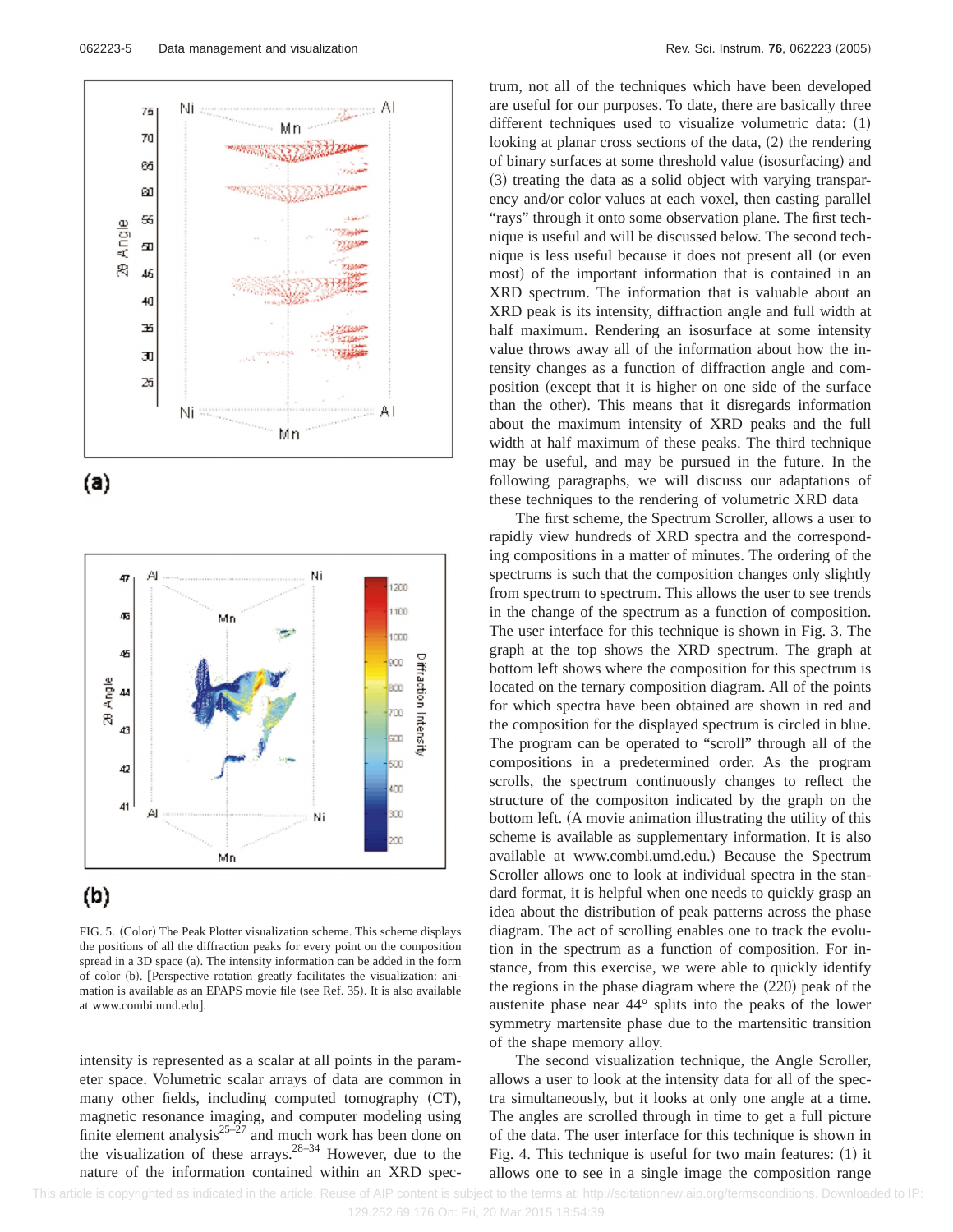

$$
^{(a)}
$$



 $(b)$ 

FIG. 5. (Color) The Peak Plotter visualization scheme. This scheme displays the positions of all the diffraction peaks for every point on the composition spread in a 3D space (a). The intensity information can be added in the form of color (b). [Perspective rotation greatly facilitates the visualization: animation is available as an EPAPS movie file (see Ref. 35). It is also available at www.combi.umd.edu].

intensity is represented as a scalar at all points in the parameter space. Volumetric scalar arrays of data are common in many other fields, including computed tomography  $(CT)$ , magnetic resonance imaging, and computer modeling using finite element analysis<sup>25–27</sup> and much work has been done on the visualization of these  $\arccos 28-34$  However, due to the nature of the information contained within an XRD spectrum, not all of the techniques which have been developed are useful for our purposes. To date, there are basically three different techniques used to visualize volumetric data:  $(1)$ looking at planar cross sections of the data,  $(2)$  the rendering of binary surfaces at some threshold value (isosurfacing) and  $(3)$  treating the data as a solid object with varying transparency and/or color values at each voxel, then casting parallel "rays" through it onto some observation plane. The first technique is useful and will be discussed below. The second technique is less useful because it does not present all (or even most) of the important information that is contained in an XRD spectrum. The information that is valuable about an XRD peak is its intensity, diffraction angle and full width at half maximum. Rendering an isosurface at some intensity value throws away all of the information about how the intensity changes as a function of diffraction angle and composition (except that it is higher on one side of the surface than the other). This means that it disregards information about the maximum intensity of XRD peaks and the full width at half maximum of these peaks. The third technique may be useful, and may be pursued in the future. In the following paragraphs, we will discuss our adaptations of these techniques to the rendering of volumetric XRD data

The first scheme, the Spectrum Scroller, allows a user to rapidly view hundreds of XRD spectra and the corresponding compositions in a matter of minutes. The ordering of the spectrums is such that the composition changes only slightly from spectrum to spectrum. This allows the user to see trends in the change of the spectrum as a function of composition. The user interface for this technique is shown in Fig. 3. The graph at the top shows the XRD spectrum. The graph at bottom left shows where the composition for this spectrum is located on the ternary composition diagram. All of the points for which spectra have been obtained are shown in red and the composition for the displayed spectrum is circled in blue. The program can be operated to "scroll" through all of the compositions in a predetermined order. As the program scrolls, the spectrum continuously changes to reflect the structure of the compositon indicated by the graph on the bottom left. (A movie animation illustrating the utility of this scheme is available as supplementary information. It is also available at www.combi.umd.edu.) Because the Spectrum Scroller allows one to look at individual spectra in the standard format, it is helpful when one needs to quickly grasp an idea about the distribution of peak patterns across the phase diagram. The act of scrolling enables one to track the evolution in the spectrum as a function of composition. For instance, from this exercise, we were able to quickly identify the regions in the phase diagram where the  $(220)$  peak of the austenite phase near 44° splits into the peaks of the lower symmetry martensite phase due to the martensitic transition of the shape memory alloy.

The second visualization technique, the Angle Scroller, allows a user to look at the intensity data for all of the spectra simultaneously, but it looks at only one angle at a time. The angles are scrolled through in time to get a full picture of the data. The user interface for this technique is shown in Fig. 4. This technique is useful for two main features:  $(1)$  it allows one to see in a single image the composition range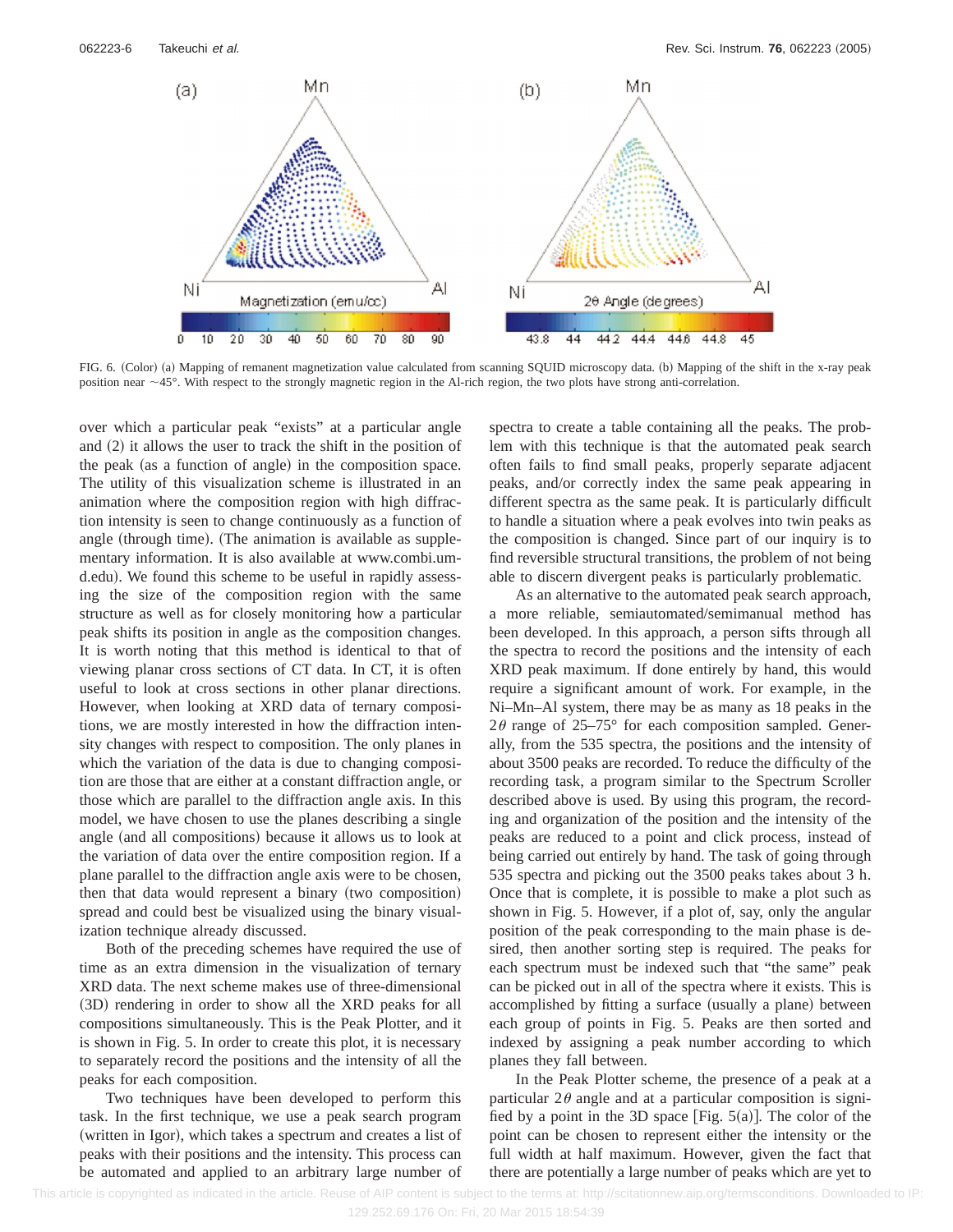

FIG. 6. (Color) (a) Mapping of remanent magnetization value calculated from scanning SQUID microscopy data. (b) Mapping of the shift in the x-ray peak position near  $\sim$  45 $\degree$ . With respect to the strongly magnetic region in the Al-rich region, the two plots have strong anti-correlation.

over which a particular peak "exists" at a particular angle and  $(2)$  it allows the user to track the shift in the position of the peak (as a function of angle) in the composition space. The utility of this visualization scheme is illustrated in an animation where the composition region with high diffraction intensity is seen to change continuously as a function of angle (through time). (The animation is available as supplementary information. It is also available at www.combi.umd.edu). We found this scheme to be useful in rapidly assessing the size of the composition region with the same structure as well as for closely monitoring how a particular peak shifts its position in angle as the composition changes. It is worth noting that this method is identical to that of viewing planar cross sections of CT data. In CT, it is often useful to look at cross sections in other planar directions. However, when looking at XRD data of ternary compositions, we are mostly interested in how the diffraction intensity changes with respect to composition. The only planes in which the variation of the data is due to changing composition are those that are either at a constant diffraction angle, or those which are parallel to the diffraction angle axis. In this model, we have chosen to use the planes describing a single angle (and all compositions) because it allows us to look at the variation of data over the entire composition region. If a plane parallel to the diffraction angle axis were to be chosen, then that data would represent a binary (two composition) spread and could best be visualized using the binary visualization technique already discussed.

Both of the preceding schemes have required the use of time as an extra dimension in the visualization of ternary XRD data. The next scheme makes use of three-dimensional (3D) rendering in order to show all the XRD peaks for all compositions simultaneously. This is the Peak Plotter, and it is shown in Fig. 5. In order to create this plot, it is necessary to separately record the positions and the intensity of all the peaks for each composition.

Two techniques have been developed to perform this task. In the first technique, we use a peak search program (written in Igor), which takes a spectrum and creates a list of peaks with their positions and the intensity. This process can be automated and applied to an arbitrary large number of spectra to create a table containing all the peaks. The problem with this technique is that the automated peak search often fails to find small peaks, properly separate adjacent peaks, and/or correctly index the same peak appearing in different spectra as the same peak. It is particularly difficult to handle a situation where a peak evolves into twin peaks as the composition is changed. Since part of our inquiry is to find reversible structural transitions, the problem of not being able to discern divergent peaks is particularly problematic.

As an alternative to the automated peak search approach, a more reliable, semiautomated/semimanual method has been developed. In this approach, a person sifts through all the spectra to record the positions and the intensity of each XRD peak maximum. If done entirely by hand, this would require a significant amount of work. For example, in the Ni–Mn–Al system, there may be as many as 18 peaks in the  $2\theta$  range of  $25-75^{\circ}$  for each composition sampled. Generally, from the 535 spectra, the positions and the intensity of about 3500 peaks are recorded. To reduce the difficulty of the recording task, a program similar to the Spectrum Scroller described above is used. By using this program, the recording and organization of the position and the intensity of the peaks are reduced to a point and click process, instead of being carried out entirely by hand. The task of going through 535 spectra and picking out the 3500 peaks takes about 3 h. Once that is complete, it is possible to make a plot such as shown in Fig. 5. However, if a plot of, say, only the angular position of the peak corresponding to the main phase is desired, then another sorting step is required. The peaks for each spectrum must be indexed such that "the same" peak can be picked out in all of the spectra where it exists. This is accomplished by fitting a surface (usually a plane) between each group of points in Fig. 5. Peaks are then sorted and indexed by assigning a peak number according to which planes they fall between.

In the Peak Plotter scheme, the presence of a peak at a particular  $2\theta$  angle and at a particular composition is signified by a point in the 3D space [Fig.  $5(a)$ ]. The color of the point can be chosen to represent either the intensity or the full width at half maximum. However, given the fact that there are potentially a large number of peaks which are yet to

129.252.69.176 On: Fri, 20 Mar 2015 18:54:39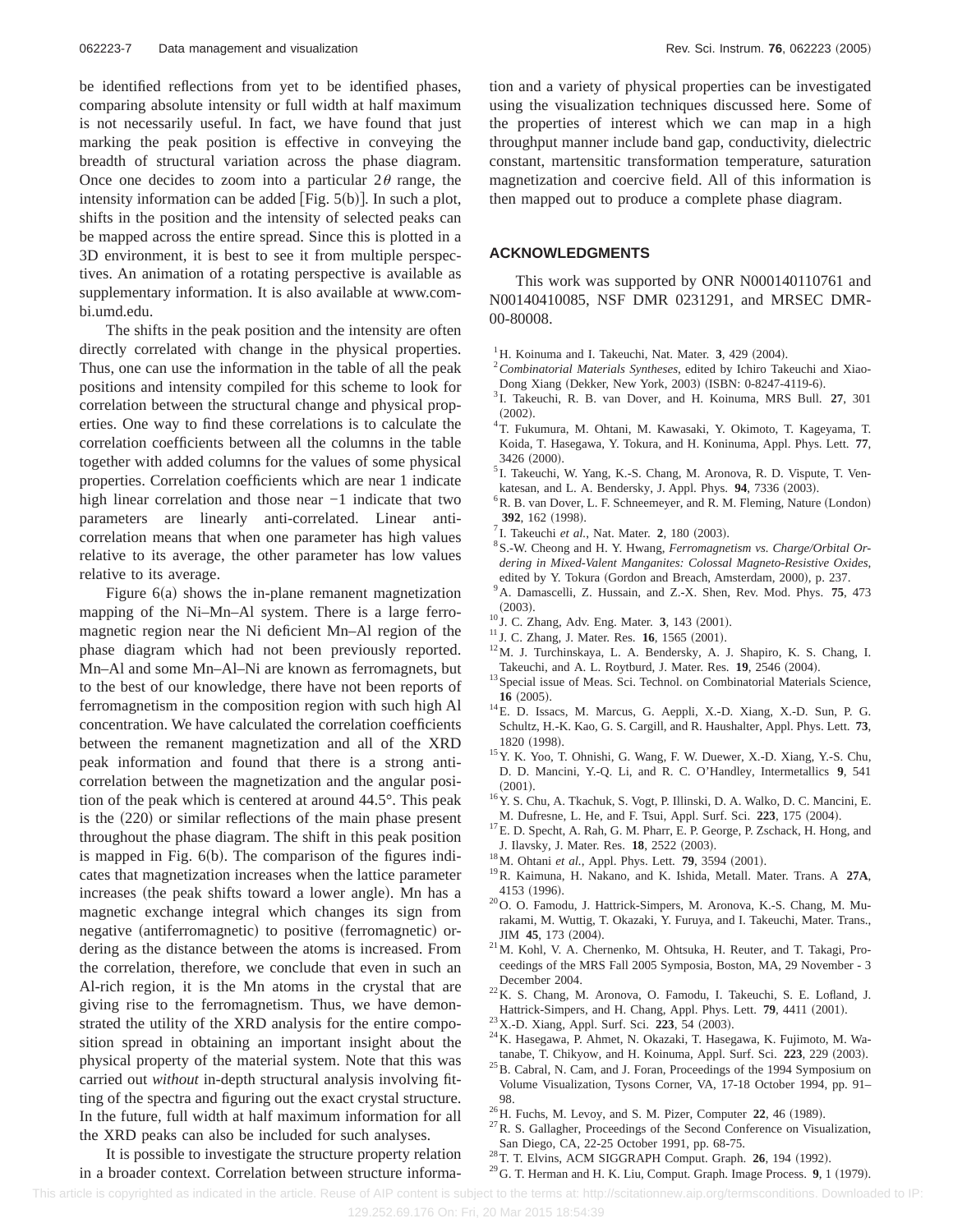be identified reflections from yet to be identified phases, comparing absolute intensity or full width at half maximum is not necessarily useful. In fact, we have found that just marking the peak position is effective in conveying the breadth of structural variation across the phase diagram. Once one decides to zoom into a particular  $2\theta$  range, the intensity information can be added [Fig.  $5(b)$ ]. In such a plot, shifts in the position and the intensity of selected peaks can be mapped across the entire spread. Since this is plotted in a 3D environment, it is best to see it from multiple perspectives. An animation of a rotating perspective is available as supplementary information. It is also available at www.combi.umd.edu.

The shifts in the peak position and the intensity are often directly correlated with change in the physical properties. Thus, one can use the information in the table of all the peak positions and intensity compiled for this scheme to look for correlation between the structural change and physical properties. One way to find these correlations is to calculate the correlation coefficients between all the columns in the table together with added columns for the values of some physical properties. Correlation coefficients which are near 1 indicate high linear correlation and those near −1 indicate that two parameters are linearly anti-correlated. Linear anticorrelation means that when one parameter has high values relative to its average, the other parameter has low values relative to its average.

Figure  $6(a)$  shows the in-plane remanent magnetization mapping of the Ni–Mn–Al system. There is a large ferromagnetic region near the Ni deficient Mn–Al region of the phase diagram which had not been previously reported. Mn–Al and some Mn–Al–Ni are known as ferromagnets, but to the best of our knowledge, there have not been reports of ferromagnetism in the composition region with such high Al concentration. We have calculated the correlation coefficients between the remanent magnetization and all of the XRD peak information and found that there is a strong anticorrelation between the magnetization and the angular position of the peak which is centered at around 44.5°. This peak is the  $(220)$  or similar reflections of the main phase present throughout the phase diagram. The shift in this peak position is mapped in Fig.  $6(b)$ . The comparison of the figures indicates that magnetization increases when the lattice parameter increases (the peak shifts toward a lower angle). Mn has a magnetic exchange integral which changes its sign from negative (antiferromagnetic) to positive (ferromagnetic) ordering as the distance between the atoms is increased. From the correlation, therefore, we conclude that even in such an Al-rich region, it is the Mn atoms in the crystal that are giving rise to the ferromagnetism. Thus, we have demonstrated the utility of the XRD analysis for the entire composition spread in obtaining an important insight about the physical property of the material system. Note that this was carried out *without* in-depth structural analysis involving fitting of the spectra and figuring out the exact crystal structure. In the future, full width at half maximum information for all the XRD peaks can also be included for such analyses.

It is possible to investigate the structure property relation in a broader context. Correlation between structure information and a variety of physical properties can be investigated using the visualization techniques discussed here. Some of the properties of interest which we can map in a high throughput manner include band gap, conductivity, dielectric constant, martensitic transformation temperature, saturation magnetization and coercive field. All of this information is then mapped out to produce a complete phase diagram.

#### **ACKNOWLEDGMENTS**

This work was supported by ONR N000140110761 and N00140410085, NSF DMR 0231291, and MRSEC DMR-00-80008.

- 
- <sup>1</sup>H. Koinuma and I. Takeuchi, Nat. Mater. **3**, 429 (2004). <sup>2</sup>*Combinatorial Materials Syntheses*, edited by Ichiro Takeuchi and Xiao-
- Dong Xiang (Dekker, New York, 2003) (ISBN: 0-8247-4119-6).<br><sup>3</sup> I. Takeuchi, R. B. van Dover, and H. Koinuma, MRS Bull. **27**, 301
- <sup>s</sup>2002d. 4T. Fukumura, M. Ohtani, M. Kawasaki, Y. Okimoto, T. Kageyama, T. Koida, T. Hasegawa, Y. Tokura, and H. Koninuma, Appl. Phys. Lett. **77**,
- $3426$  (2000).  $5$  I. Takeuchi, W. Yang, K.-S. Chang, M. Aronova, R. D. Vispute, T. Venkatesan, and L. A. Bendersky, J. Appl. Phys. **94**, 7336 (2003). <sup>6</sup>R. B. van Dover, L. F. Schneemeyer, and R. M. Fleming, Nature (London)
- **392**, 162 (1998).<br><sup>7</sup> I. Takeuchi *et al.*, Nat. Mater. **2**, 180 (2003).<br><sup>8</sup> S.-W. Cheong and H. Y. Hwang, *Ferromagnetism vs. Charge/Orbital Or-*
- 
- *dering in Mixed-Valent Manganites: Colossal Magneto-Resistive Oxides*, edited by Y. Tokura (Gordon and Breach, Amsterdam, 2000), p. 237.
- A. Damascelli, Z. Hussain, and Z.-X. Shen, Rev. Mod. Phys. **75**, 473 1<sup>0</sup> J. C. Zhang, Adv. Eng. Mater. **3**, 143 (2001).<br><sup>11</sup> J. C. Zhang, J. Mater. Res. **16**, 1565 (2001).<br><sup>12</sup> M. J. Turchinskaya, L. A. Bendersky, A. J. Shapiro, K. S. Chang, I.
- 
- 
- 
- Takeuchi, and A. L. Roytburd, J. Mater. Res. **19**, 2546 (2004). <sup>13</sup> Special issue of Meas. Sci. Technol. on Combinatorial Materials Science,
- **16** (2005). <sup>14</sup>E. D. Issacs, M. Marcus, G. Aeppli, X.-D. Xiang, X.-D. Sun, P. G. Schultz, H.-K. Kao, G. S. Cargill, and R. Haushalter, Appl. Phys. Lett. **73**,
- 1820 (1998). 15Y. K. Yoo, T. Ohnishi, G. Wang, F. W. Duewer, X.-D. Xiang, Y.-S. Chu, D. D. Mancini, Y.-Q. Li, and R. C. O'Handley, Intermetallics **9**, 541
- (2001).  $16Y$ . S. Chu, A. Tkachuk, S. Vogt, P. Illinski, D. A. Walko, D. C. Mancini, E.
- M. Dufresne, L. He, and F. Tsui, Appl. Surf. Sci. 223, 175 (2004). <sup>17</sup>E. D. Specht, A. Rah, G. M. Pharr, E. P. George, P. Zschack, H. Hong, and
- 
- J. Ilavsky, J. Mater. Res. **18**, 2522 (2003). <sup>18</sup>M. Ohtani *et al.*, Appl. Phys. Lett. **79**, 3594 (2001). <sup>19</sup>R. Kaimuna, H. Nakano, and K. Ishida, Metall. Mater. Trans. A **27A**,
- $^{20}$ O. O. Famodu, J. Hattrick-Simpers, M. Aronova, K.-S. Chang, M. Murakami, M. Wuttig, T. Okazaki, Y. Furuya, and I. Takeuchi, Mater. Trans.,
- JIM 45, 173 (2004).<br><sup>21</sup>M. Kohl, V. A. Chernenko, M. Ohtsuka, H. Reuter, and T. Takagi, Proceedings of the MRS Fall 2005 Symposia, Boston, MA, 29 November - 3
- December 2004.<br><sup>22</sup>K. S. Chang, M. Aronova, O. Famodu, I. Takeuchi, S. E. Lofland, J. Hattrick-Simpers, and H. Chang, Appl. Phys. Lett. **79**, 4411 (2001). <sup>23</sup>X.-D. Xiang, Appl. Surf. Sci. **223**, 54 (2003). <sup>24</sup>K. Hasegawa, P. Ahmet, N. Okazaki, T. Hasegawa, K. Fujimoto, M. Wa-
- 
- 
- tanabe, T. Chikyow, and H. Koinuma, Appl. Surf. Sci. 223, 229 (2003). <sup>25</sup>B. Cabral, N. Cam, and J. Foran, Proceedings of the 1994 Symposium on Volume Visualization, Tysons Corner, VA, 17-18 October 1994, pp. 91–
- 
- 98. <sup>26</sup>H. Fuchs, M. Levoy, and S. M. Pizer, Computer **22**, 46 (1989). <sup>27</sup>R. S. Gallagher, Proceedings of the Second Conference on Visualization,
- 
- San Diego, CA, 22-25 October 1991, pp. 68-75.<br><sup>28</sup>T. T. Elvins, ACM SIGGRAPH Comput. Graph. **26**, 194 (1992).<br><sup>29</sup>G. T. Herman and H. K. Liu, Comput. Graph. Image Process. **9**, 1 (1979).